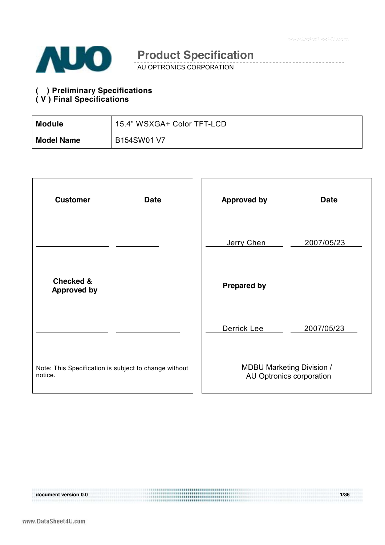

AU OPTRONICS CORPORATION

#### **( ) Preliminary Specifications ( V ) Final Specifications**

| <b>Module</b>     | 15.4" WSXGA+ Color TFT-LCD |
|-------------------|----------------------------|
| <b>Model Name</b> | B154SW01 V7                |

| <b>Customer</b><br><b>Date</b>                                   | <b>Approved by</b><br><b>Date</b>                            |
|------------------------------------------------------------------|--------------------------------------------------------------|
|                                                                  | Jerry Chen<br>2007/05/23                                     |
| <b>Checked &amp;</b><br><b>Approved by</b>                       | <b>Prepared by</b>                                           |
|                                                                  | Derrick Lee<br>2007/05/23                                    |
| Note: This Specification is subject to change without<br>notice. | <b>MDBU Marketing Division /</b><br>AU Optronics corporation |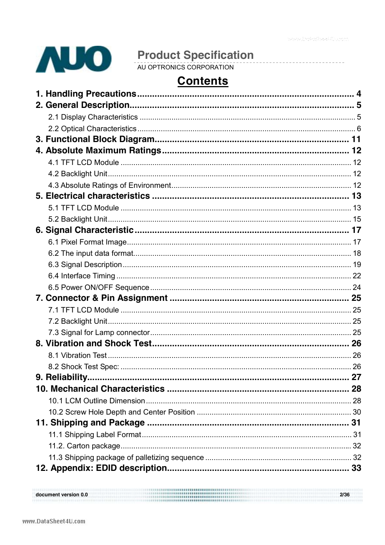\_\_\_\_\_\_\_\_\_\_\_\_\_\_\_\_\_\_\_



# **Contents**

| document version 0.0 | 2/36 |
|----------------------|------|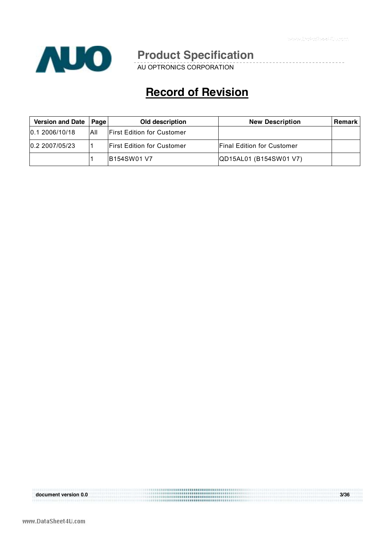

AU OPTRONICS CORPORATION

# **Record of Revision**

| <b>Version and Date</b> | Page I | Old description                    | <b>New Description</b>            | <b>Remark</b> |
|-------------------------|--------|------------------------------------|-----------------------------------|---------------|
| 0.12006/10/18           | All    | <b>IFirst Edition for Customer</b> |                                   |               |
| 0.2 2007/05/23          |        | <b>IFirst Edition for Customer</b> | <b>Final Edition for Customer</b> |               |
|                         |        | <b>IB154SW01 V7</b>                | QD15AL01 (B154SW01 V7)            |               |

document version 0.0 **document version 0.0 3/36**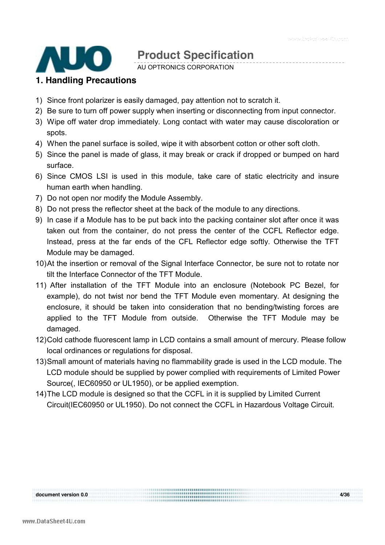

AU OPTRONICS CORPORATION

#### **1. Handling Precautions**

- 1) Since front polarizer is easily damaged, pay attention not to scratch it.
- 2) Be sure to turn off power supply when inserting or disconnecting from input connector.
- 3) Wipe off water drop immediately. Long contact with water may cause discoloration or spots.
- 4) When the panel surface is soiled, wipe it with absorbent cotton or other soft cloth.
- 5) Since the panel is made of glass, it may break or crack if dropped or bumped on hard surface.
- 6) Since CMOS LSI is used in this module, take care of static electricity and insure human earth when handling.
- 7) Do not open nor modify the Module Assembly.
- 8) Do not press the reflector sheet at the back of the module to any directions.
- 9) In case if a Module has to be put back into the packing container slot after once it was taken out from the container, do not press the center of the CCFL Reflector edge. Instead, press at the far ends of the CFL Reflector edge softly. Otherwise the TFT Module may be damaged.
- 10) At the insertion or removal of the Signal Interface Connector, be sure not to rotate nor tilt the Interface Connector of the TFT Module.
- 11) After installation of the TFT Module into an enclosure (Notebook PC Bezel, for example), do not twist nor bend the TFT Module even momentary. At designing the enclosure, it should be taken into consideration that no bending/twisting forces are applied to the TFT Module from outside. Otherwise the TFT Module may be damaged.
- 12) Cold cathode fluorescent lamp in LCD contains a small amount of mercury. Please follow local ordinances or regulations for disposal.
- 13) Small amount of materials having no flammability grade is used in the LCD module. The LCD module should be supplied by power complied with requirements of Limited Power Source(, IEC60950 or UL1950), or be applied exemption.
- 14) The LCD module is designed so that the CCFL in it is supplied by Limited Current Circuit(IEC60950 or UL1950). Do not connect the CCFL in Hazardous Voltage Circuit.

**document version 0.0 4/36** 

document version 0.0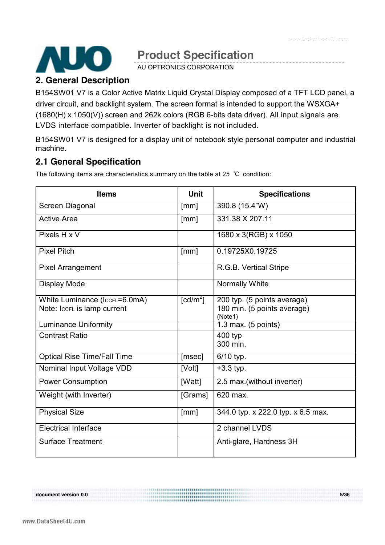

AU OPTRONICS CORPORATION

#### **2. General Description**

B154SW01 V7 is a Color Active Matrix Liquid Crystal Display composed of a TFT LCD panel, a driver circuit, and backlight system. The screen format is intended to support the WSXGA+ (1680(H) x 1050(V)) screen and 262k colors (RGB 6-bits data driver). All input signals are LVDS interface compatible. Inverter of backlight is not included.

B154SW01 V7 is designed for a display unit of notebook style personal computer and industrial machine.

### **2.1 General Specification**

The following items are characteristics summary on the table at 25 ℃ condition:

| <b>Items</b>                                                 | <b>Unit</b> | <b>Specifications</b>                                                 |
|--------------------------------------------------------------|-------------|-----------------------------------------------------------------------|
| Screen Diagonal                                              | [mm]        | 390.8 (15.4"W)                                                        |
| <b>Active Area</b>                                           | [mm]        | 331.38 X 207.11                                                       |
| Pixels H x V                                                 |             | 1680 x 3(RGB) x 1050                                                  |
| <b>Pixel Pitch</b>                                           | [mm]        | 0.19725X0.19725                                                       |
| <b>Pixel Arrangement</b>                                     |             | R.G.B. Vertical Stripe                                                |
| Display Mode                                                 |             | <b>Normally White</b>                                                 |
| White Luminance (IccFL=6.0mA)<br>Note: IccrL is lamp current | [ $cd/m2$ ] | 200 typ. (5 points average)<br>180 min. (5 points average)<br>(Note1) |
| <b>Luminance Uniformity</b>                                  |             | 1.3 max. $(5$ points)                                                 |
| <b>Contrast Ratio</b>                                        |             | 400 typ<br>300 min.                                                   |
| <b>Optical Rise Time/Fall Time</b>                           | [msec]      | 6/10 typ.                                                             |
| Nominal Input Voltage VDD                                    | [Volt]      | $+3.3$ typ.                                                           |
| <b>Power Consumption</b>                                     | [Watt]      | 2.5 max. (without inverter)                                           |
| Weight (with Inverter)                                       | [Grams]     | 620 max.                                                              |
| <b>Physical Size</b>                                         | [mm]        | 344.0 typ. x 222.0 typ. x 6.5 max.                                    |
| <b>Electrical Interface</b>                                  |             | 2 channel LVDS                                                        |
| <b>Surface Treatment</b>                                     |             | Anti-glare, Hardness 3H                                               |

document version 0.0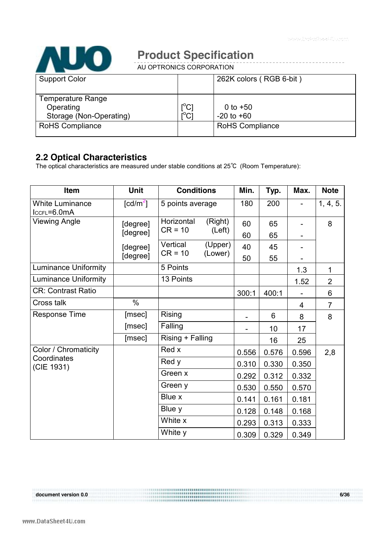www.DataSheet4U.com



# **Product Specification**

AU OPTRONICS CORPORATION

| <b>Support Color</b>    |                                         | 262K colors (RGB 6-bit) |  |
|-------------------------|-----------------------------------------|-------------------------|--|
|                         |                                         |                         |  |
|                         |                                         |                         |  |
| Temperature Range       |                                         |                         |  |
| Operating               | $\mathop{\rm l{^{\circ}Cl}}$            | 0 to $+50$              |  |
|                         |                                         |                         |  |
| Storage (Non-Operating) | $\mathsf{I}^\circ\mathsf{C} \mathsf{I}$ | $-20$ to $+60$          |  |
| <b>RoHS Compliance</b>  |                                         | <b>RoHS Compliance</b>  |  |
|                         |                                         |                         |  |
|                         |                                         |                         |  |

### **2.2 Optical Characteristics**

The optical characteristics are measured under stable conditions at 25℃ (Room Temperature):

| Item                                  | Unit                   | <b>Conditions</b>     |                    | Min.  | Typ.  | Max.  | <b>Note</b>    |
|---------------------------------------|------------------------|-----------------------|--------------------|-------|-------|-------|----------------|
| <b>White Luminance</b><br>IccFL=6.0mA | $\lceil cd/m^2 \rceil$ | 5 points average      |                    | 180   | 200   |       | 1, 4, 5.       |
| <b>Viewing Angle</b>                  | [degree]               | Horizontal            | (Right)            | 60    | 65    |       | 8              |
|                                       | [degree]               | $CR = 10$             | (Left)             | 60    | 65    |       |                |
|                                       | [degree]               | Vertical<br>$CR = 10$ | (Upper)<br>(Lower) | 40    | 45    |       |                |
|                                       | [degree]               |                       |                    | 50    | 55    |       |                |
| <b>Luminance Uniformity</b>           |                        | 5 Points              |                    |       |       | 1.3   | 1              |
| <b>Luminance Uniformity</b>           |                        | 13 Points             |                    |       |       | 1.52  | $\overline{2}$ |
| <b>CR: Contrast Ratio</b>             |                        |                       |                    | 300:1 | 400:1 |       | 6              |
| Cross talk                            | $\%$                   |                       |                    |       |       | 4     | $\overline{7}$ |
| <b>Response Time</b>                  | [msec]                 | <b>Rising</b>         |                    |       | 6     | 8     | 8              |
|                                       | [msec]                 | Falling               |                    |       | 10    | 17    |                |
|                                       | [msec]                 | Rising + Falling      |                    |       | 16    | 25    |                |
| Color / Chromaticity                  |                        | Red x                 |                    | 0.556 | 0.576 | 0.596 | 2,8            |
| Coordinates<br>(CIE 1931)             |                        | Red y                 |                    | 0.310 | 0.330 | 0.350 |                |
|                                       |                        | Green x               |                    | 0.292 | 0.312 | 0.332 |                |
|                                       |                        | Green y               |                    | 0.530 | 0.550 | 0.570 |                |
|                                       |                        | Blue x                |                    | 0.141 | 0.161 | 0.181 |                |
|                                       |                        | Blue y                |                    | 0.128 | 0.148 | 0.168 |                |
|                                       |                        | White x               |                    | 0.293 | 0.313 | 0.333 |                |
|                                       |                        | White y               |                    | 0.309 | 0.329 | 0.349 |                |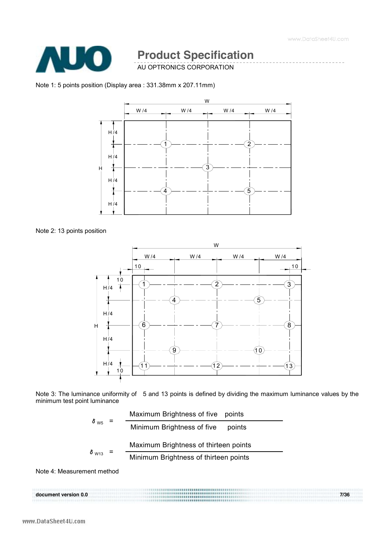

AU OPTRONICS CORPORATION

#### Note 1: 5 points position (Display area : 331.38mm x 207.11mm)



#### Note 2: 13 points position



Note 3: The luminance uniformity of 5 and 13 points is defined by dividing the maximum luminance values by the minimum test point luminance

**document version 0.0 7/36** 

$$
\delta_{\text{W5}} = \frac{\text{Maximum Brightness of five points}}{\text{Minimum Brightness of five points}}
$$
\n
$$
\delta_{\text{W13}} = \frac{\text{Maximum Brightness of thirteen points}}{\text{Minimum Brightness of thirteen points}}
$$

Note 4: Measurement method

document version 0.0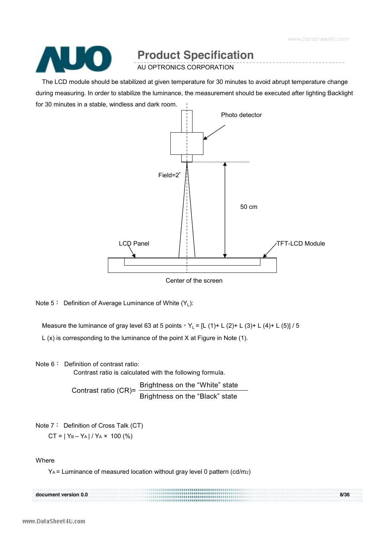www.DataSheet4U.com



# **Product Specification**

AU OPTRONICS CORPORATION

The LCD module should be stabilized at given temperature for 30 minutes to avoid abrupt temperature change during measuring. In order to stabilize the luminance, the measurement should be executed after lighting Backlight for 30 minutes in a stable, windless and dark room.



Center of the screen

Note  $5:$  Definition of Average Luminance of White  $(Y_1)$ :

Measure the luminance of gray level 63 at 5 points,  $Y_L = [L (1) + L (2) + L (3) + L (4) + L (5)]$  / 5

L (x) is corresponding to the luminance of the point X at Figure in Note (1).

Note 6: Definition of contrast ratio:

Contrast ratio is calculated with the following formula.

Contrast ratio (CR)=  $\frac{\text{Brightness on the "White}^{\text{}}\text{state}}{n}$ Brightness on the "Black" state

Note 7: Definition of Cross Talk (CT)

 $CT = |Y_B - Y_A| / Y_A \times 100$  (%)

Where

YA = Luminance of measured location without gray level 0 pattern (cd/m2)

|                      | ,,,,,,,,,,,,,,,,,,,,,,,,,,      |      |
|----------------------|---------------------------------|------|
| document version 0.0 | <b>************************</b> | 8/36 |
|                      |                                 |      |
|                      |                                 |      |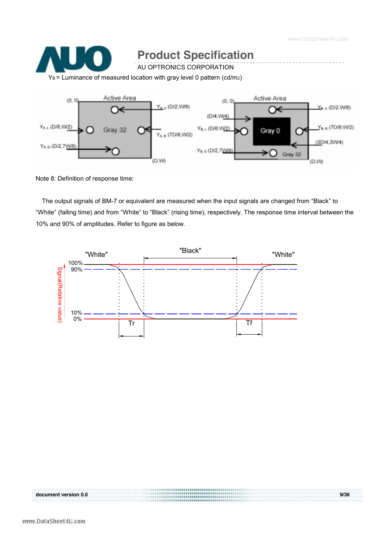www.DataSheet4U.com



Note 8: Definition of response time:

The output signals of BM-7 or equivalent are measured when the input signals are changed from "Black" to "White" (falling time) and from "White" to "Black" (rising time), respectively. The response time interval between the 10% and 90% of amplitudes. Refer to figure as below.

**document version 0.0 9/36** 



document version 0.0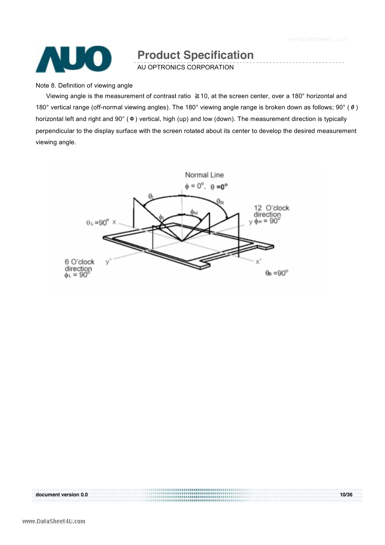

AU OPTRONICS CORPORATION

Note 8. Definition of viewing angle

Viewing angle is the measurement of contrast ratio ≧10, at the screen center, over a 180° horizontal and 180° vertical range (off-normal viewing angles). The 180° viewing angle range is broken down as follows; 90° (θ) horizontal left and right and 90° (Φ) vertical, high (up) and low (down). The measurement direction is typically perpendicular to the display surface with the screen rotated about its center to develop the desired measurement viewing angle.



document version 0.0 **document version 0.0 10/36**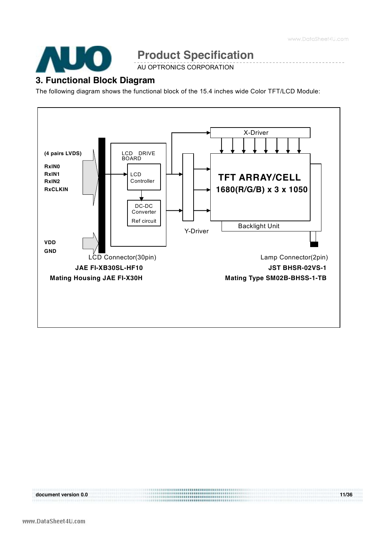

AU OPTRONICS CORPORATION

#### **3. Functional Block Diagram**

The following diagram shows the functional block of the 15.4 inches wide Color TFT/LCD Module:

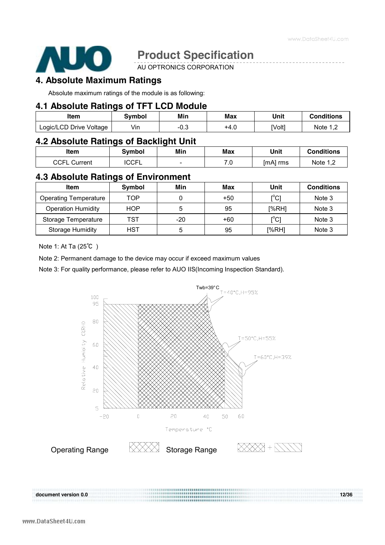

AU OPTRONICS CORPORATION

#### **4. Absolute Maximum Ratings**

Absolute maximum ratings of the module is as following:

#### **4.1 Absolute Ratings of TFT LCD Module**

| Item                    | Svmbol | Min  | Max  | Unit   | <b>Conditions</b> |
|-------------------------|--------|------|------|--------|-------------------|
| Logic/LCD Drive Voltage | Vin    | -∪.౦ | 14.U | [Volt] | Note 1 2          |

#### **4.2 Absolute Ratings of Backlight Unit**

| <b>Item</b>         | Svmbol       | Min | Max       | Unit     | Conditions |
|---------------------|--------------|-----|-----------|----------|------------|
| <b>CCFL Current</b> | <b>ICCFL</b> | -   | 70<br>. v | [mA] rms | Note 1,2   |

### **4.3 Absolute Ratings of Environment**

| Item                         | Symbol | Min   | Max   | Unit  | <b>Conditions</b> |
|------------------------------|--------|-------|-------|-------|-------------------|
| <b>Operating Temperature</b> | TOP    |       | $+50$ | [°C]  | Note 3            |
| <b>Operation Humidity</b>    | HOP    | 5     | 95    | [%RH] | Note 3            |
| Storage Temperature          | TST    | $-20$ | $+60$ | [°C]  | Note 3            |
| <b>Storage Humidity</b>      | HST    | 5     | 95    | [%RH] | Note 3            |

Note 1: At Ta (25℃ )

Note 2: Permanent damage to the device may occur if exceed maximum values

Note 3: For quality performance, please refer to AUO IIS(Incoming Inspection Standard).

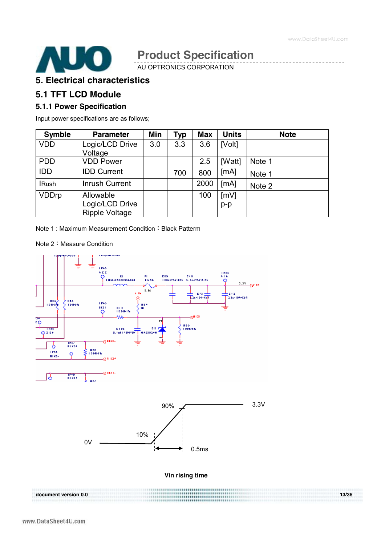

AU OPTRONICS CORPORATION

#### **5. Electrical characteristics**

#### **5.1 TFT LCD Module**

#### **5.1.1 Power Specification**

Input power specifications are as follows;

| <b>Symble</b> | <b>Parameter</b>                                      | Min | Typ | <b>Max</b> | <b>Units</b>  | <b>Note</b> |
|---------------|-------------------------------------------------------|-----|-----|------------|---------------|-------------|
| <b>VDD</b>    | Logic/LCD Drive<br>Voltage                            | 3.0 | 3.3 | 3.6        | [Volt]        |             |
| <b>PDD</b>    | <b>VDD Power</b>                                      |     |     | 2.5        | [Watt]        | Note 1      |
| IDD           | <b>IDD Current</b>                                    |     | 700 | 800        | [mA]          | Note 1      |
| <b>IRush</b>  | Inrush Current                                        |     |     | 2000       | [mA]          | Note 2      |
| <b>VDDrp</b>  | Allowable<br>Logic/LCD Drive<br><b>Ripple Voltage</b> |     |     | 100        | [mV]<br>$p-p$ |             |

Note 1: Maximum Measurement Condition: Black Patterm

Note 2:Measure Condition

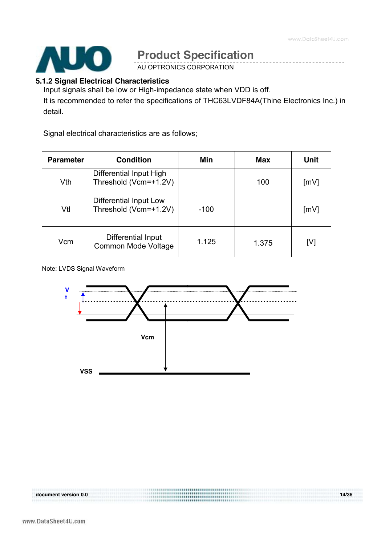

AU OPTRONICS CORPORATION

#### **5.1.2 Signal Electrical Characteristics**

Input signals shall be low or High-impedance state when VDD is off. It is recommended to refer the specifications of THC63LVDF84A(Thine Electronics Inc.) in detail.

Signal electrical characteristics are as follows;

| <b>Parameter</b> | <b>Condition</b>                                 | Min    | <b>Max</b> | <b>Unit</b> |
|------------------|--------------------------------------------------|--------|------------|-------------|
| Vth              | Differential Input High<br>Threshold (Vcm=+1.2V) |        | 100        | [mV]        |
| Vtl              | Differential Input Low<br>Threshold (Vcm=+1.2V)  | $-100$ |            | [mV]        |
| Vcm              | Differential Input<br>Common Mode Voltage        | 1.125  | 1.375      | [V]         |

Note: LVDS Signal Waveform

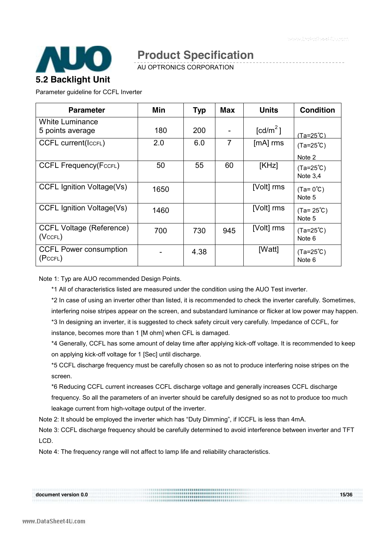

AU OPTRONICS CORPORATION

Parameter guideline for CCFL Inverter

| <b>Parameter</b>                                 | Min  | <b>Typ</b> | <b>Max</b> | <b>Units</b>         | <b>Condition</b>                 |
|--------------------------------------------------|------|------------|------------|----------------------|----------------------------------|
| <b>White Luminance</b><br>5 points average       | 180  | 200        |            | [cd/m <sup>2</sup> ] | <u>(Ta=25℃)</u>                  |
| <b>CCFL current(IccFL)</b>                       | 2.0  | 6.0        | 7          | $[mA]$ rms           | $(Ta=25^{\circ}C)$<br>Note 2     |
| <b>CCFL Frequency(FccFL)</b>                     | 50   | 55         | 60         | [KHz]                | $(Ta=25^{\circ}C)$<br>Note $3,4$ |
| <b>CCFL Ignition Voltage(Vs)</b>                 | 1650 |            |            | [Volt] rms           | $(Ta=0^{\circ}C)$<br>Note 5      |
| CCFL Ignition Voltage(Vs)                        | 1460 |            |            | [Volt] rms           | $(Ta = 25^{\circ}C)$<br>Note 5   |
| <b>CCFL Voltage (Reference)</b><br>$(Vc$ CFL $)$ | 700  | 730        | 945        | [Volt] rms           | $(Ta=25^{\circ}C)$<br>Note 6     |
| <b>CCFL Power consumption</b><br>(PccFL)         |      | 4.38       |            | [Watt]               | $(Ta=25^{\circ}C)$<br>Note 6     |

Note 1: Typ are AUO recommended Design Points.

\*1 All of characteristics listed are measured under the condition using the AUO Test inverter.

\*2 In case of using an inverter other than listed, it is recommended to check the inverter carefully. Sometimes, interfering noise stripes appear on the screen, and substandard luminance or flicker at low power may happen. \*3 In designing an inverter, it is suggested to check safety circuit very carefully. Impedance of CCFL, for instance, becomes more than 1 [M ohm] when CFL is damaged.

\*4 Generally, CCFL has some amount of delay time after applying kick-off voltage. It is recommended to keep on applying kick-off voltage for 1 [Sec] until discharge.

\*5 CCFL discharge frequency must be carefully chosen so as not to produce interfering noise stripes on the screen.

\*6 Reducing CCFL current increases CCFL discharge voltage and generally increases CCFL discharge frequency. So all the parameters of an inverter should be carefully designed so as not to produce too much leakage current from high-voltage output of the inverter.

Note 2: It should be employed the inverter which has "Duty Dimming", if ICCFL is less than 4mA.

Note 3: CCFL discharge frequency should be carefully determined to avoid interference between inverter and TFT LCD.

**document version 0.0 15/36** 

Note 4: The frequency range will not affect to lamp life and reliability characteristics.

document version 0.0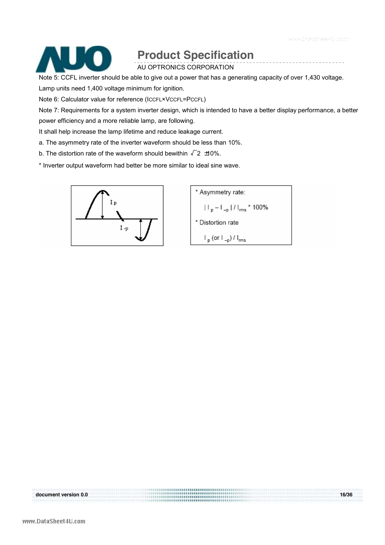

AU OPTRONICS CORPORATION

Note 5: CCFL inverter should be able to give out a power that has a generating capacity of over 1,430 voltage.

Lamp units need 1,400 voltage minimum for ignition.

Note 6: Calculator value for reference (ICCFL×VCCFL=PCCFL)

Note 7: Requirements for a system inverter design, which is intended to have a better display performance, a better power efficiency and a more reliable lamp, are following.

It shall help increase the lamp lifetime and reduce leakage current.

- a. The asymmetry rate of the inverter waveform should be less than 10%.
- b. The distortion rate of the waveform should bewithin  $\sqrt{2}$  ±10%.

\* Inverter output waveform had better be more similar to ideal sine wave.



\* Asymmetry rate:  
\n
$$
||\mathbf{p} - \mathbf{L}_{\text{p}}| / l_{\text{rms}} \times 100\%
$$
\n\* Distortion rate  
\n
$$
I_{\text{p}} (\text{or } l_{\text{eq}}) / l_{\text{rms}}
$$

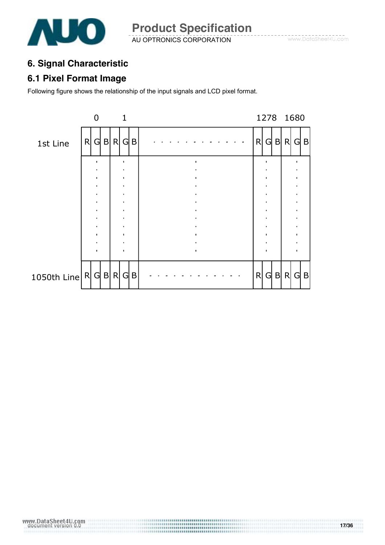

AU OPTRONICS CORPORATION **Product Specification** 

### **6. Signal Characteristic**

### **6.1 Pixel Format Image**

Following figure shows the relationship of the input signals and LCD pixel format.

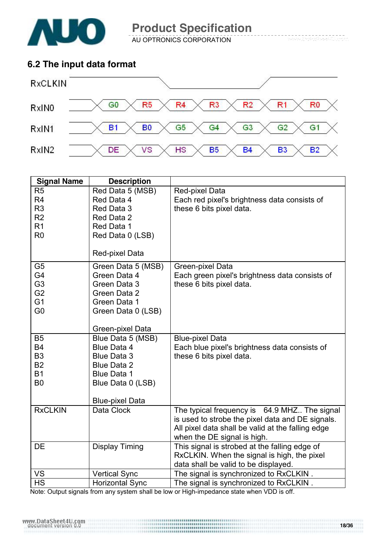

AU OPTRONICS CORPORATION

### **6.2 The input data format**



| <b>Signal Name</b> | <b>Description</b>     |                                                   |
|--------------------|------------------------|---------------------------------------------------|
| R <sub>5</sub>     | Red Data 5 (MSB)       | Red-pixel Data                                    |
| R <sub>4</sub>     | Red Data 4             | Each red pixel's brightness data consists of      |
| R <sub>3</sub>     | Red Data 3             | these 6 bits pixel data.                          |
| R <sub>2</sub>     | Red Data 2             |                                                   |
| R <sub>1</sub>     | Red Data 1             |                                                   |
| R <sub>0</sub>     | Red Data 0 (LSB)       |                                                   |
|                    | Red-pixel Data         |                                                   |
|                    |                        |                                                   |
| G <sub>5</sub>     | Green Data 5 (MSB)     | Green-pixel Data                                  |
| G4                 | Green Data 4           | Each green pixel's brightness data consists of    |
| G <sub>3</sub>     | Green Data 3           | these 6 bits pixel data.                          |
| G <sub>2</sub>     | Green Data 2           |                                                   |
| G <sub>1</sub>     | Green Data 1           |                                                   |
| G <sub>0</sub>     | Green Data 0 (LSB)     |                                                   |
|                    | Green-pixel Data       |                                                   |
| B <sub>5</sub>     | Blue Data 5 (MSB)      | <b>Blue-pixel Data</b>                            |
| <b>B4</b>          | <b>Blue Data 4</b>     | Each blue pixel's brightness data consists of     |
| B <sub>3</sub>     | <b>Blue Data 3</b>     | these 6 bits pixel data.                          |
| <b>B2</b>          | <b>Blue Data 2</b>     |                                                   |
| <b>B1</b>          | <b>Blue Data 1</b>     |                                                   |
| B <sub>0</sub>     | Blue Data 0 (LSB)      |                                                   |
|                    | <b>Blue-pixel Data</b> |                                                   |
| <b>RxCLKIN</b>     | Data Clock             | The typical frequency is 64.9 MHZ The signal      |
|                    |                        | is used to strobe the pixel data and DE signals.  |
|                    |                        | All pixel data shall be valid at the falling edge |
|                    |                        | when the DE signal is high.                       |
| DE                 | <b>Display Timing</b>  | This signal is strobed at the falling edge of     |
|                    |                        | RxCLKIN. When the signal is high, the pixel       |
|                    |                        | data shall be valid to be displayed.              |
| <b>VS</b>          | <b>Vertical Sync</b>   | The signal is synchronized to RxCLKIN.            |
| <b>HS</b>          | <b>Horizontal Sync</b> | The signal is synchronized to RxCLKIN.            |

Note: Output signals from any system shall be low or High-impedance state when VDD is off.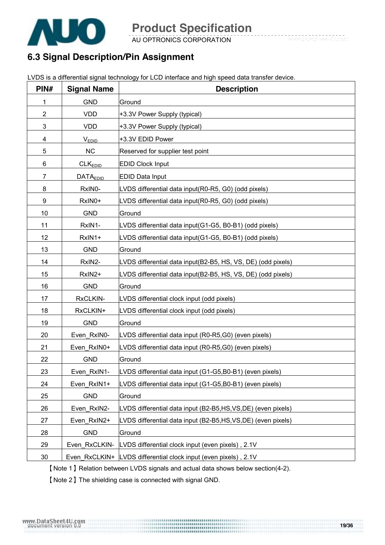

AU OPTRONICS CORPORATION

### **6.3 Signal Description/Pin Assignment**

LVDS is a differential signal technology for LCD interface and high speed data transfer device.

| PIN# | <b>Signal Name</b>   | <b>Description</b>                                              |
|------|----------------------|-----------------------------------------------------------------|
| 1    | <b>GND</b>           | Ground                                                          |
| 2    | <b>VDD</b>           | +3.3V Power Supply (typical)                                    |
| 3    | <b>VDD</b>           | +3.3V Power Supply (typical)                                    |
| 4    | $V_{EDID}$           | +3.3V EDID Power                                                |
| 5    | NC                   | Reserved for supplier test point                                |
| 6    | CLK <sub>EDID</sub>  | <b>EDID Clock Input</b>                                         |
| 7    | DATA <sub>EDID</sub> | <b>EDID Data Input</b>                                          |
| 8    | RxIN0-               | LVDS differential data input(R0-R5, G0) (odd pixels)            |
| 9    | RxIN0+               | LVDS differential data input(R0-R5, G0) (odd pixels)            |
| 10   | <b>GND</b>           | Ground                                                          |
| 11   | RxIN1-               | LVDS differential data input(G1-G5, B0-B1) (odd pixels)         |
| 12   | RxIN1+               | LVDS differential data input(G1-G5, B0-B1) (odd pixels)         |
| 13   | <b>GND</b>           | Ground                                                          |
| 14   | RxIN2-               | LVDS differential data input(B2-B5, HS, VS, DE) (odd pixels)    |
| 15   | RxIN2+               | LVDS differential data input(B2-B5, HS, VS, DE) (odd pixels)    |
| 16   | <b>GND</b>           | Ground                                                          |
| 17   | RxCLKIN-             | LVDS differential clock input (odd pixels)                      |
| 18   | RxCLKIN+             | LVDS differential clock input (odd pixels)                      |
| 19   | <b>GND</b>           | Ground                                                          |
| 20   | Even RxIN0-          | LVDS differential data input (R0-R5,G0) (even pixels)           |
| 21   | Even RxIN0+          | LVDS differential data input (R0-R5,G0) (even pixels)           |
| 22   | <b>GND</b>           | Ground                                                          |
| 23   | Even_RxIN1-          | LVDS differential data input (G1-G5,B0-B1) (even pixels)        |
| 24   | Even RxIN1+          | LVDS differential data input (G1-G5,B0-B1) (even pixels)        |
| 25   | <b>GND</b>           | Ground                                                          |
| 26   | Even_RxIN2-          | LVDS differential data input (B2-B5,HS,VS,DE) (even pixels)     |
| 27   | Even RxIN2+          | LVDS differential data input (B2-B5,HS,VS,DE) (even pixels)     |
| 28   | <b>GND</b>           | Ground                                                          |
| 29   | Even RxCLKIN-        | LVDS differential clock input (even pixels), 2.1V               |
| 30   |                      | Even_RxCLKIN+ LVDS differential clock input (even pixels), 2.1V |

【Note 1】Relation between LVDS signals and actual data shows below section(4-2).

【Note 2】The shielding case is connected with signal GND.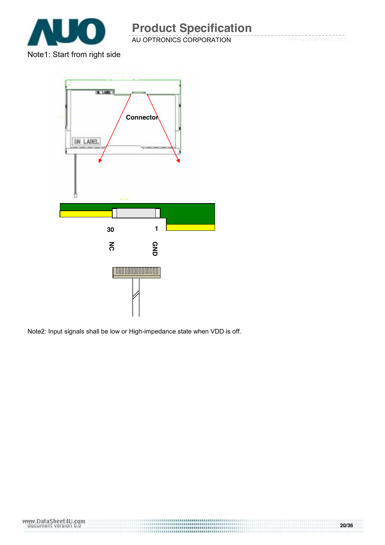

AU OPTRONICS CORPORATION

Note1: Start from right side



Note2: Input signals shall be low or High-impedance state when VDD is off.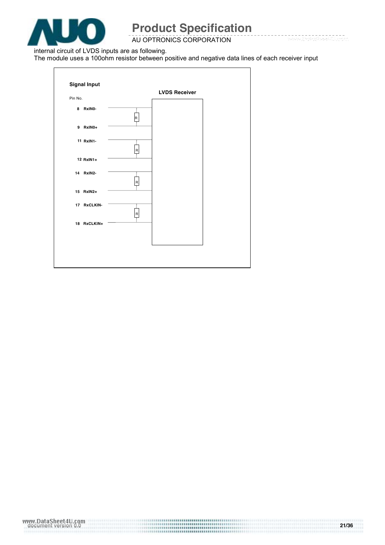

AU OPTRONICS CORPORATION

internal circuit of LVDS inputs are as following.

The module uses a 100ohm resistor between positive and negative data lines of each receiver input

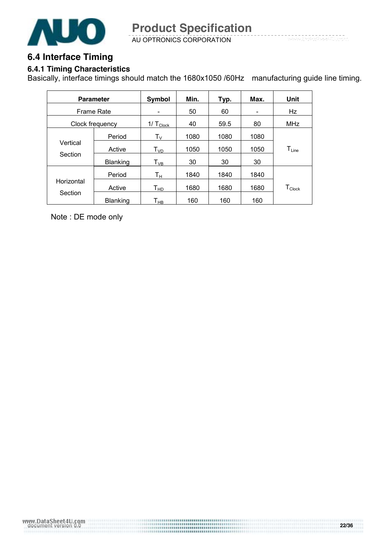

AU OPTRONICS CORPORATION

#### **6.4 Interface Timing**

#### **6.4.1 Timing Characteristics**

Basically, interface timings should match the 1680x1050 /60Hz manufacturing guide line timing.

|                     | <b>Parameter</b> | Symbol                     | Min. | Typ. | Max. | Unit                 |
|---------------------|------------------|----------------------------|------|------|------|----------------------|
| Frame Rate          |                  | $\overline{\phantom{a}}$   | 50   | 60   | -    | Hz                   |
|                     | Clock frequency  | 1/ $T_{\text{Clock}}$      | 40   | 59.5 | 80   | <b>MHz</b>           |
|                     | Period           | $\mathsf{T}_\mathsf{V}$    | 1080 | 1080 | 1080 |                      |
| Vertical<br>Section | Active           | $\mathsf{T}_{\mathsf{VD}}$ | 1050 | 1050 | 1050 | $T_{Line}$           |
|                     | <b>Blanking</b>  | $\mathsf{T}_{\mathsf{VB}}$ | 30   | 30   | 30   |                      |
|                     | Period           | $\mathsf{T}_\mathsf{H}$    | 1840 | 1840 | 1840 |                      |
| Horizontal          | Active           | Т <sub>нр</sub>            | 1680 | 1680 | 1680 | $T_{\mathsf{Clock}}$ |
| Section             | Blanking         | Т <sub>нв</sub>            | 160  | 160  | 160  |                      |

Note : DE mode only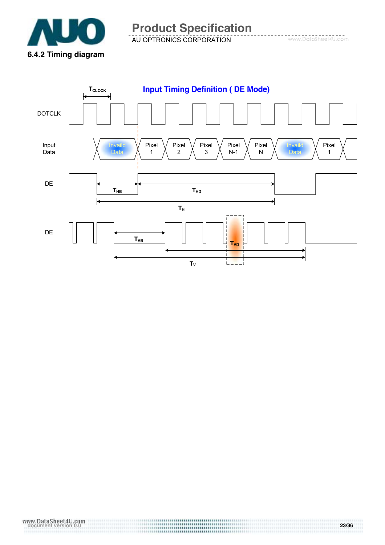

AU OPTRONICS CORPORATION **Product Specification** 

www.DataSheet4U.com

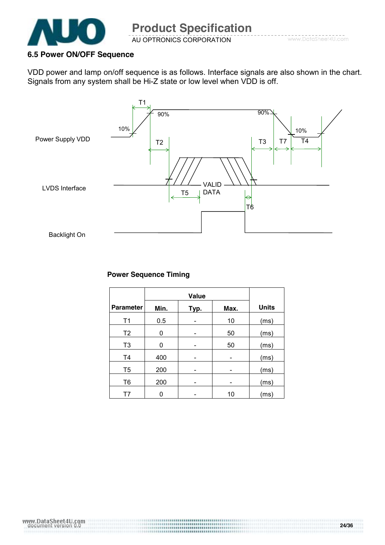

#### **6.5 Power ON/OFF Sequence**

VDD power and lamp on/off sequence is as follows. Interface signals are also shown in the chart. Signals from any system shall be Hi-Z state or low level when VDD is off.



#### **Power Sequence Timing**

| <b>Parameter</b> | Min. | <u>Тур.</u> | Max. | <b>Units</b> |
|------------------|------|-------------|------|--------------|
| T1               | 0.5  |             | 10   | (ms)         |
| T <sub>2</sub>   | 0    |             | 50   | (ms)         |
| T <sub>3</sub>   | 0    |             | 50   | (ms)         |
| T <sub>4</sub>   | 400  |             |      | (ms)         |
| T <sub>5</sub>   | 200  |             |      | (ms)         |
| T <sub>6</sub>   | 200  |             |      | (ms)         |
| Т7               |      |             | 10   | (ms)         |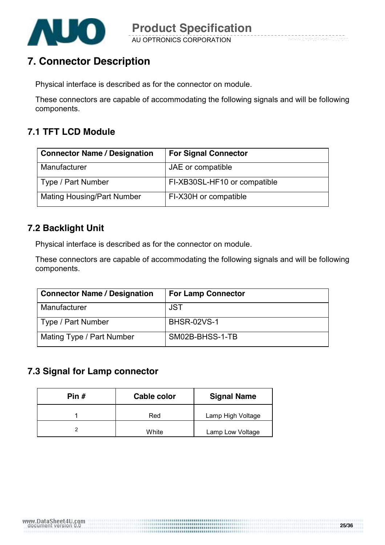

### **7. Connector Description**

Physical interface is described as for the connector on module.

These connectors are capable of accommodating the following signals and will be following components.

### **7.1 TFT LCD Module**

| <b>Connector Name / Designation</b> | <b>For Signal Connector</b>  |
|-------------------------------------|------------------------------|
| Manufacturer                        | JAE or compatible            |
| Type / Part Number                  | FI-XB30SL-HF10 or compatible |
| <b>Mating Housing/Part Number</b>   | FI-X30H or compatible        |

### **7.2 Backlight Unit**

Physical interface is described as for the connector on module.

These connectors are capable of accommodating the following signals and will be following components.

| <b>Connector Name / Designation</b> | <b>For Lamp Connector</b> |
|-------------------------------------|---------------------------|
| Manufacturer                        | JST                       |
| Type / Part Number                  | <b>BHSR-02VS-1</b>        |
| Mating Type / Part Number           | SM02B-BHSS-1-TB           |

### **7.3 Signal for Lamp connector**

| Pin # | Cable color | <b>Signal Name</b> |  |
|-------|-------------|--------------------|--|
|       | Red         | Lamp High Voltage  |  |
|       | White       | Lamp Low Voltage   |  |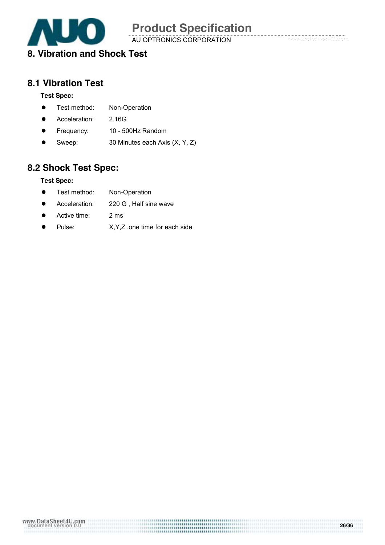

AU OPTRONICS CORPORATION

### **8. Vibration and Shock Test**

#### **8.1 Vibration Test**

#### **Test Spec:**

- Test method: Non-Operation
- **•** Acceleration: 2.16G
- Frequency: 10 500Hz Random
- Sweep: 30 Minutes each Axis (X, Y, Z)

### **8.2 Shock Test Spec:**

#### **Test Spec:**

- Test method: Non-Operation
- Acceleration: 220 G, Half sine wave
- Active time: 2 ms
- Pulse: X,Y,Z .one time for each side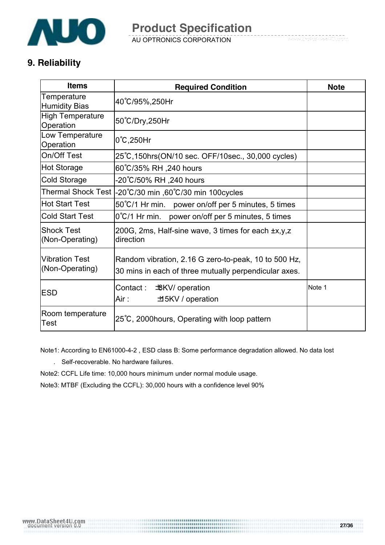

### **9. Reliability**

| <b>Items</b>                             | <b>Required Condition</b>                                                                                     | <b>Note</b> |
|------------------------------------------|---------------------------------------------------------------------------------------------------------------|-------------|
| Temperature<br><b>Humidity Bias</b>      | 40°C/95%,250Hr                                                                                                |             |
| <b>High Temperature</b><br>Operation     | 50°C/Dry,250Hr                                                                                                |             |
| Low Temperature<br>Operation             | $0^{\circ}$ C,250Hr                                                                                           |             |
| On/Off Test                              | 25°C, 150hrs (ON/10 sec. OFF/10sec., 30,000 cycles)                                                           |             |
| <b>Hot Storage</b>                       | 60°C/35% RH , 240 hours                                                                                       |             |
| Cold Storage                             | -20℃/50% RH ,240 hours                                                                                        |             |
| <b>Thermal Shock Test</b>                | -20°C/30 min ,60°C/30 min 100cycles                                                                           |             |
| <b>Hot Start Test</b>                    | 50°C/1 Hr min. power on/off per 5 minutes, 5 times                                                            |             |
| <b>Cold Start Test</b>                   | $0^{\circ}$ C/1 Hr min. power on/off per 5 minutes, 5 times                                                   |             |
| <b>Shock Test</b><br>(Non-Operating)     | 200G, 2ms, Half-sine wave, 3 times for each ±x,y,z<br>direction                                               |             |
| <b>Vibration Test</b><br>(Non-Operating) | Random vibration, 2.16 G zero-to-peak, 10 to 500 Hz,<br>30 mins in each of three mutually perpendicular axes. |             |
| <b>ESD</b>                               | Contact:<br><b>戈KV</b> / operation<br>Air :<br>±15KV / operation                                              | Note 1      |
| Room temperature<br>Test                 | 25°C, 2000 hours, Operating with loop pattern                                                                 |             |

Note1: According to EN61000-4-2 , ESD class B: Some performance degradation allowed. No data lost

. Self-recoverable. No hardware failures.

Note2: CCFL Life time: 10,000 hours minimum under normal module usage.

Note3: MTBF (Excluding the CCFL): 30,000 hours with a confidence level 90%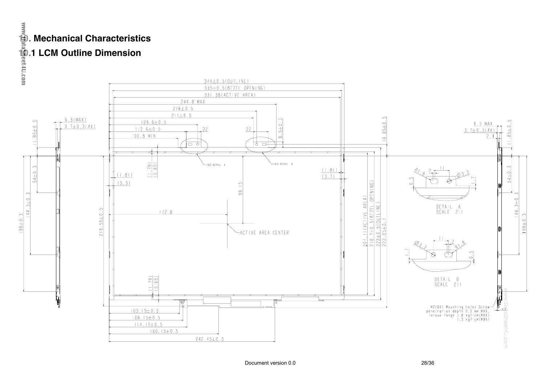### **10. Mechanical Characteristics**

### **10.1 LCM Outline Dimension**

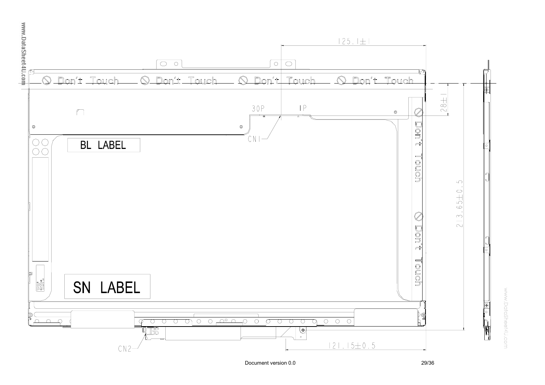

www.DataSheet4U.com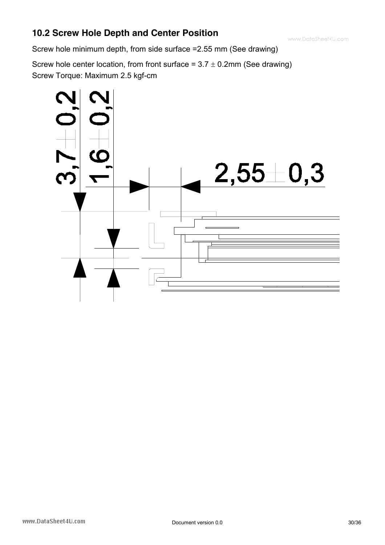### **10.2 Screw Hole Depth and Center Position**

Screw hole minimum depth, from side surface =2.55 mm (See drawing)

Screw hole center location, from front surface =  $3.7 \pm 0.2$ mm (See drawing) Screw Torque: Maximum 2.5 kgf-cm

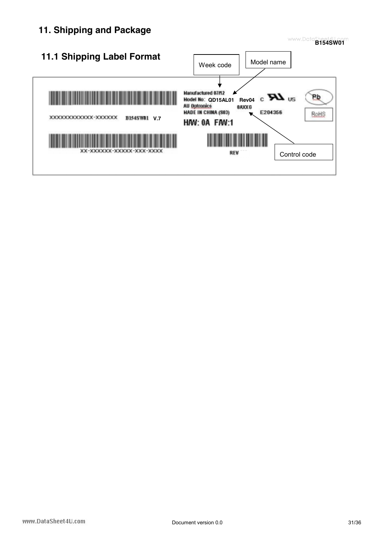### **11. Shipping and Package**



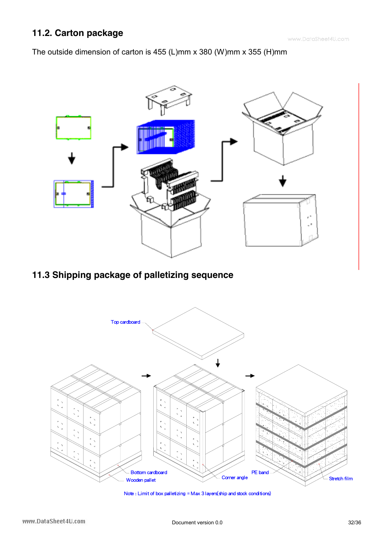### **11.2. Carton package**

The outside dimension of carton is 455 (L)mm x 380 (W)mm x 355 (H)mm



**11.3 Shipping package of palletizing sequence** 



Note : Limit of box palletizing = Max 3 layers(ship and stock conditions)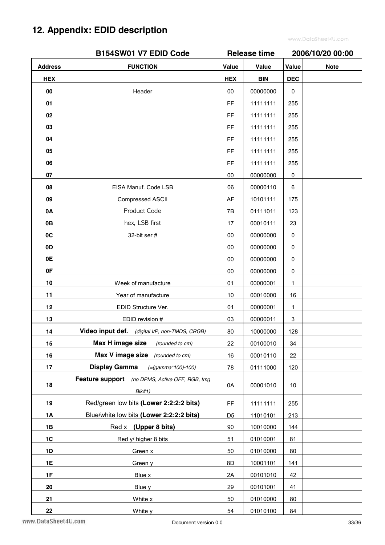## **12. Appendix: EDID description**

|                | B154SW01 V7 EDID Code                                    |                     | <b>Release time</b> |              | 2006/10/20 00:00 |  |
|----------------|----------------------------------------------------------|---------------------|---------------------|--------------|------------------|--|
| <b>Address</b> | <b>FUNCTION</b>                                          | Value               | Value               | Value        | <b>Note</b>      |  |
| <b>HEX</b>     |                                                          | <b>HEX</b>          | <b>BIN</b>          | <b>DEC</b>   |                  |  |
| 00             | Header                                                   | 00                  | 00000000            | 0            |                  |  |
| 01             |                                                          | FF                  | 11111111            | 255          |                  |  |
| 02             |                                                          | $\mathsf{FF}% _{0}$ | 11111111            | 255          |                  |  |
| 03             |                                                          | FF                  | 11111111            | 255          |                  |  |
| 04             |                                                          | FF                  | 11111111            | 255          |                  |  |
| 05             |                                                          | FF                  | 11111111            | 255          |                  |  |
| 06             |                                                          | FF                  | 11111111            | 255          |                  |  |
| 07             |                                                          | 00                  | 00000000            | $\pmb{0}$    |                  |  |
| 08             | EISA Manuf. Code LSB                                     | 06                  | 00000110            | 6            |                  |  |
| 09             | Compressed ASCII                                         | AF                  | 10101111            | 175          |                  |  |
| 0A             | Product Code                                             | 7B                  | 01111011            | 123          |                  |  |
| 0B             | hex, LSB first                                           | 17                  | 00010111            | 23           |                  |  |
| 0C             | 32-bit ser #                                             | $00\,$              | 00000000            | 0            |                  |  |
| 0D             |                                                          | 00                  | 00000000            | 0            |                  |  |
| 0E             |                                                          | 00                  | 00000000            | 0            |                  |  |
| 0F             |                                                          | $00\,$              | 00000000            | 0            |                  |  |
| 10             | Week of manufacture                                      | 01                  | 00000001            | 1            |                  |  |
| 11             | Year of manufacture                                      | 10                  | 00010000            | 16           |                  |  |
| 12             | EDID Structure Ver.                                      | 01                  | 00000001            | $\mathbf{1}$ |                  |  |
| 13             | EDID revision #                                          | 03                  | 00000011            | 3            |                  |  |
| 14             | Video input def. (digital I/P, non-TMDS, CRGB)           | 80                  | 10000000            | 128          |                  |  |
| 15             | Max H image size<br>(rounded to cm)                      | 22                  | 00100010            | 34           |                  |  |
| 16             | Max V image size<br>(rounded to cm)                      | 16                  | 00010110            | 22           |                  |  |
| 17             | <b>Display Gamma</b><br>$(=(gamma*100)-100)$             | 78                  | 01111000            | 120          |                  |  |
| 18             | Feature support (no DPMS, Active OFF, RGB, tmg<br>Blk#1) | 0A                  | 00001010            | 10           |                  |  |
| 19             | Red/green low bits (Lower 2:2:2:2 bits)                  | FF                  | 11111111            | 255          |                  |  |
| <b>1A</b>      | Blue/white low bits (Lower 2:2:2:2 bits)                 | D <sub>5</sub>      | 11010101            | 213          |                  |  |
| 1B             | Red x (Upper 8 bits)                                     | 90                  | 10010000            | 144          |                  |  |
| 1C             | Red y/ higher 8 bits                                     | 51                  | 01010001            | 81           |                  |  |
| 1D             | Green x                                                  | 50                  | 01010000            | 80           |                  |  |
| 1E             | Green y                                                  | 8D                  | 10001101            | 141          |                  |  |
| 1F             | Blue x                                                   | 2A                  | 00101010            | 42           |                  |  |
| 20             | Blue y                                                   | 29                  | 00101001            | 41           |                  |  |
| 21             | White x                                                  | 50                  | 01010000            | 80           |                  |  |
| 22             | White y                                                  | 54                  | 01010100            | 84           |                  |  |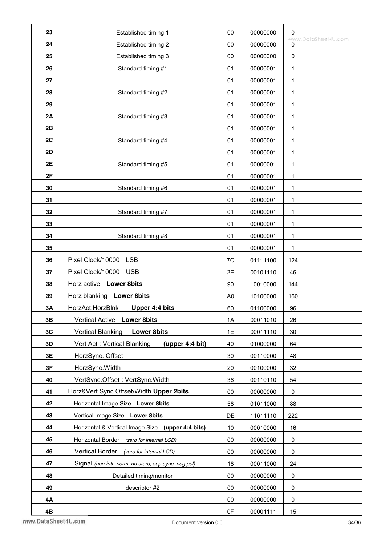| 23        | Established timing 1                                 | $00\,$         | 00000000 | 0                         |                 |
|-----------|------------------------------------------------------|----------------|----------|---------------------------|-----------------|
| 24        | Established timing 2                                 | 00             | 00000000 | <b>WWW</b><br>$\mathbf 0$ | DataSheet4U.com |
| 25        | Established timing 3                                 | $00\,$         | 00000000 | $\pmb{0}$                 |                 |
| 26        | Standard timing #1                                   | 01             | 00000001 | 1                         |                 |
| 27        |                                                      | 01             | 00000001 | 1                         |                 |
| 28        | Standard timing #2                                   | 01             | 00000001 | 1                         |                 |
| 29        |                                                      | 01             | 00000001 | 1                         |                 |
| 2A        | Standard timing #3                                   | 01             | 00000001 | 1                         |                 |
| 2B        |                                                      | 01             | 00000001 | 1                         |                 |
| 2C        | Standard timing #4                                   | 01             | 00000001 | 1                         |                 |
| 2D        |                                                      | 01             | 00000001 | 1                         |                 |
| 2E        | Standard timing #5                                   | 01             | 00000001 | 1                         |                 |
| 2F        |                                                      | 01             | 00000001 | 1                         |                 |
| 30        | Standard timing #6                                   | 01             | 00000001 | $\mathbf{1}$              |                 |
| 31        |                                                      | 01             | 00000001 | 1                         |                 |
| 32        | Standard timing #7                                   | 01             | 00000001 | 1                         |                 |
| 33        |                                                      | 01             | 00000001 | 1                         |                 |
| 34        | Standard timing #8                                   | 01             | 00000001 | 1                         |                 |
| 35        |                                                      | 01             | 00000001 | 1                         |                 |
| 36        | Pixel Clock/10000<br><b>LSB</b>                      | 7C             | 01111100 | 124                       |                 |
| 37        | Pixel Clock/10000<br><b>USB</b>                      | 2E             | 00101110 | 46                        |                 |
| 38        | Horz active Lower 8bits                              | 90             | 10010000 | 144                       |                 |
| 39        | Horz blanking Lower 8bits                            | A <sub>0</sub> | 10100000 | 160                       |                 |
| <b>3A</b> | <b>Upper 4:4 bits</b><br>HorzAct:HorzBlnk            | 60             | 01100000 | 96                        |                 |
| 3B        | Vertical Active Lower 8bits                          | 1A             | 00011010 | 26                        |                 |
| 3C        | <b>Vertical Blanking</b><br><b>Lower 8bits</b>       | 1E             | 00011110 | 30                        |                 |
| 3D        | Vert Act: Vertical Blanking<br>(upper 4:4 bit)       | 40             | 01000000 | 64                        |                 |
| 3E        | HorzSync. Offset                                     | 30             | 00110000 | 48                        |                 |
| 3F        | HorzSync.Width                                       | 20             | 00100000 | 32                        |                 |
| 40        | VertSync.Offset: VertSync.Width                      | 36             | 00110110 | 54                        |                 |
| 41        | Horz‖ Sync Offset/Width Upper 2bits                  | $00\,$         | 00000000 | 0                         |                 |
| 42        | Horizontal Image Size Lower 8bits                    | 58             | 01011000 | 88                        |                 |
| 43        | Vertical Image Size Lower 8bits                      | DE             | 11011110 | 222                       |                 |
| 44        | Horizontal & Vertical Image Size (upper 4:4 bits)    | 10             | 00010000 | 16                        |                 |
| 45        | Horizontal Border<br>(zero for internal LCD)         | $00\,$         | 00000000 | 0                         |                 |
| 46        | <b>Vertical Border</b><br>(zero for internal LCD)    | 00             | 00000000 | 0                         |                 |
| 47        | Signal (non-intr, norm, no stero, sep sync, neg pol) | 18             | 00011000 | 24                        |                 |
| 48        | Detailed timing/monitor                              | 00             | 00000000 | 0                         |                 |
| 49        | descriptor #2                                        | 00             | 00000000 | 0                         |                 |
| 4Α        |                                                      | 00             | 00000000 | 0                         |                 |
| 4B        |                                                      | 0F             | 00001111 | 15                        |                 |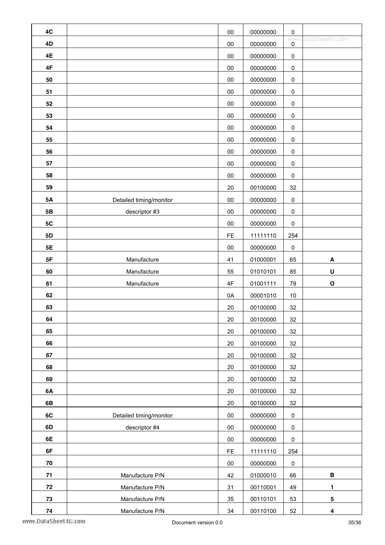| 4C        |                         | $00\,$    | 00000000 | $\pmb{0}$       |                         |
|-----------|-------------------------|-----------|----------|-----------------|-------------------------|
| 4D        |                         | $00\,$    | 00000000 | <b>WWW</b><br>0 | DataSheet4U.com         |
| 4E        |                         | $00\,$    | 00000000 | $\pmb{0}$       |                         |
| 4F        |                         | $00\,$    | 00000000 | $\pmb{0}$       |                         |
| 50        |                         | 00        | 00000000 | $\pmb{0}$       |                         |
| 51        |                         | $00\,$    | 00000000 | $\pmb{0}$       |                         |
| 52        |                         | $00\,$    | 00000000 | $\pmb{0}$       |                         |
| 53        |                         | $00\,$    | 00000000 | $\pmb{0}$       |                         |
| 54        |                         | $00\,$    | 00000000 | $\pmb{0}$       |                         |
| 55        |                         | $00\,$    | 00000000 | $\pmb{0}$       |                         |
| 56        |                         | $00\,$    | 00000000 | $\pmb{0}$       |                         |
| 57        |                         | 00        | 00000000 | $\pmb{0}$       |                         |
| 58        |                         | 00        | 00000000 | $\pmb{0}$       |                         |
| 59        |                         | 20        | 00100000 | 32              |                         |
| <b>5A</b> | Detailed timing/monitor | $00\,$    | 00000000 | $\pmb{0}$       |                         |
| 5B        | descriptor #3           | $00\,$    | 00000000 | $\pmb{0}$       |                         |
| 5C        |                         | 00        | 00000000 | $\pmb{0}$       |                         |
| 5D        |                         | FE        | 11111110 | 254             |                         |
| 5E        |                         | $00\,$    | 00000000 | $\pmb{0}$       |                         |
| 5F        | Manufacture             | 41        | 01000001 | 65              | A                       |
| 60        | Manufacture             | 55        | 01010101 | 85              | U                       |
| 61        | Manufacture             | 4F        | 01001111 | 79              | $\mathbf O$             |
| 62        |                         | 0A        | 00001010 | $10$            |                         |
| 63        |                         | 20        | 00100000 | 32              |                         |
| 64        |                         | 20        | 00100000 | 32              |                         |
| 65        |                         | 20        | 00100000 | 32              |                         |
| 66        |                         | $20\,$    | 00100000 | 32              |                         |
| 67        |                         | 20        | 00100000 | 32              |                         |
| 68        |                         | 20        | 00100000 | 32              |                         |
| 69        |                         | 20        | 00100000 | 32              |                         |
| 6A        |                         | 20        | 00100000 | 32              |                         |
| 6B        |                         | 20        | 00100000 | 32              |                         |
| 6C        | Detailed timing/monitor | 00        | 00000000 | $\pmb{0}$       |                         |
| 6D        | descriptor #4           | 00        | 00000000 | $\pmb{0}$       |                         |
| 6E        |                         | 00        | 00000000 | $\pmb{0}$       |                         |
| 6F        |                         | <b>FE</b> | 11111110 | 254             |                         |
| 70        |                         | $00\,$    | 00000000 | $\pmb{0}$       |                         |
| 71        | Manufacture P/N         | 42        | 01000010 | 66              | $\, {\bf B}$            |
| 72        | Manufacture P/N         | 31        | 00110001 | 49              | 1                       |
| 73        | Manufacture P/N         | 35        | 00110101 | 53              | 5                       |
| 74        | Manufacture P/N         | 34        | 00110100 | 52              | $\overline{\mathbf{4}}$ |